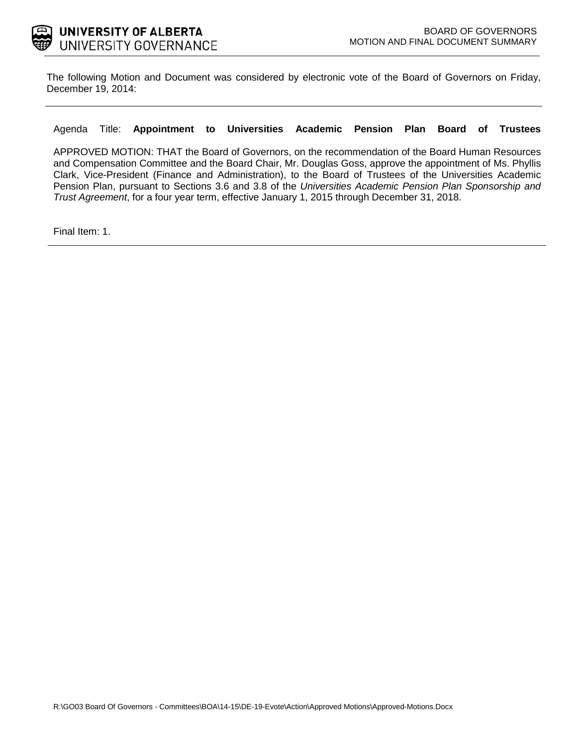

The following Motion and Document was considered by electronic vote of the Board of Governors on Friday, December 19, 2014:

#### Agenda Title: **Appointment to Universities Academic Pension Plan Board of Trustees**

APPROVED MOTION: THAT the Board of Governors, on the recommendation of the Board Human Resources and Compensation Committee and the Board Chair, Mr. Douglas Goss, approve the appointment of Ms. Phyllis Clark, Vice-President (Finance and Administration), to the Board of Trustees of the Universities Academic Pension Plan, pursuant to Sections 3.6 and 3.8 of the *Universities Academic Pension Plan Sponsorship and Trust Agreement*, for a four year term, effective January 1, 2015 through December 31, 2018.

Final Item: [1](#page-1-0).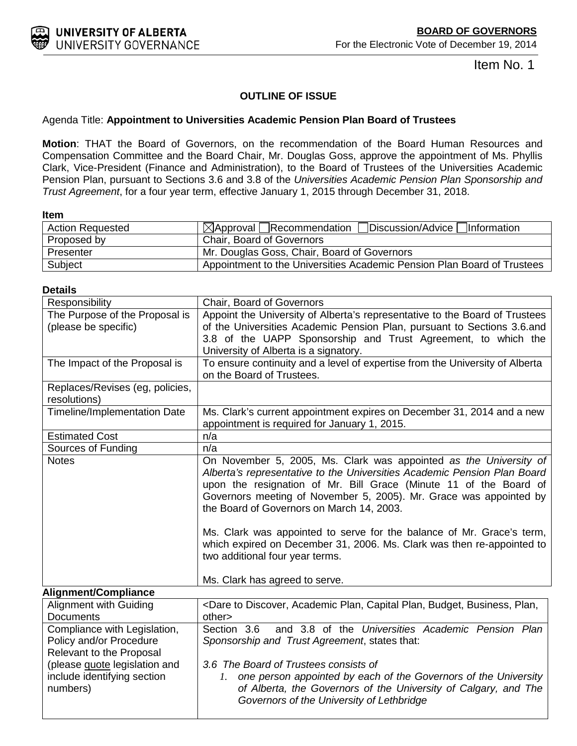Item No. 1

### **OUTLINE OF ISSUE**

#### <span id="page-1-0"></span>Agenda Title: **Appointment to Universities Academic Pension Plan Board of Trustees**

**Motion**: THAT the Board of Governors, on the recommendation of the Board Human Resources and Compensation Committee and the Board Chair, Mr. Douglas Goss, approve the appointment of Ms. Phyllis Clark, Vice-President (Finance and Administration), to the Board of Trustees of the Universities Academic Pension Plan, pursuant to Sections 3.6 and 3.8 of the *Universities Academic Pension Plan Sponsorship and Trust Agreement*, for a four year term, effective January 1, 2015 through December 31, 2018.

**Item** 

| <b>Action Requested</b> | Discussion/Advice Information<br>$\bowtie$ Approval   Recommendation    |
|-------------------------|-------------------------------------------------------------------------|
| Proposed by             | <b>Chair, Board of Governors</b>                                        |
| Presenter               | Mr. Douglas Goss, Chair, Board of Governors                             |
| Subject                 | Appointment to the Universities Academic Pension Plan Board of Trustees |

| Responsibility                                  | Chair, Board of Governors                                                                                                                                                                                                                                                                                                                                                                                                                                                                                                                                     |
|-------------------------------------------------|---------------------------------------------------------------------------------------------------------------------------------------------------------------------------------------------------------------------------------------------------------------------------------------------------------------------------------------------------------------------------------------------------------------------------------------------------------------------------------------------------------------------------------------------------------------|
| The Purpose of the Proposal is                  | Appoint the University of Alberta's representative to the Board of Trustees                                                                                                                                                                                                                                                                                                                                                                                                                                                                                   |
| (please be specific)                            | of the Universities Academic Pension Plan, pursuant to Sections 3.6.and                                                                                                                                                                                                                                                                                                                                                                                                                                                                                       |
|                                                 | 3.8 of the UAPP Sponsorship and Trust Agreement, to which the                                                                                                                                                                                                                                                                                                                                                                                                                                                                                                 |
|                                                 | University of Alberta is a signatory.                                                                                                                                                                                                                                                                                                                                                                                                                                                                                                                         |
| The Impact of the Proposal is                   | To ensure continuity and a level of expertise from the University of Alberta                                                                                                                                                                                                                                                                                                                                                                                                                                                                                  |
|                                                 | on the Board of Trustees.                                                                                                                                                                                                                                                                                                                                                                                                                                                                                                                                     |
| Replaces/Revises (eg, policies,<br>resolutions) |                                                                                                                                                                                                                                                                                                                                                                                                                                                                                                                                                               |
| <b>Timeline/Implementation Date</b>             | Ms. Clark's current appointment expires on December 31, 2014 and a new<br>appointment is required for January 1, 2015.                                                                                                                                                                                                                                                                                                                                                                                                                                        |
| <b>Estimated Cost</b>                           | n/a                                                                                                                                                                                                                                                                                                                                                                                                                                                                                                                                                           |
| Sources of Funding                              | n/a                                                                                                                                                                                                                                                                                                                                                                                                                                                                                                                                                           |
| <b>Notes</b>                                    | On November 5, 2005, Ms. Clark was appointed as the University of<br>Alberta's representative to the Universities Academic Pension Plan Board<br>upon the resignation of Mr. Bill Grace (Minute 11 of the Board of<br>Governors meeting of November 5, 2005). Mr. Grace was appointed by<br>the Board of Governors on March 14, 2003.<br>Ms. Clark was appointed to serve for the balance of Mr. Grace's term,<br>which expired on December 31, 2006. Ms. Clark was then re-appointed to<br>two additional four year terms.<br>Ms. Clark has agreed to serve. |
| <b>Alignment/Compliance</b>                     |                                                                                                                                                                                                                                                                                                                                                                                                                                                                                                                                                               |
| <b>Alignment with Guiding</b>                   | <dare academic="" budget,="" business,="" capital="" discover,="" plan,="" plan,<="" td="" to=""></dare>                                                                                                                                                                                                                                                                                                                                                                                                                                                      |
| <b>Documents</b>                                | other>                                                                                                                                                                                                                                                                                                                                                                                                                                                                                                                                                        |
| Compliance with Legislation,                    | and 3.8 of the Universities Academic Pension Plan<br>Section 3.6                                                                                                                                                                                                                                                                                                                                                                                                                                                                                              |
| Policy and/or Procedure                         | Sponsorship and Trust Agreement, states that:                                                                                                                                                                                                                                                                                                                                                                                                                                                                                                                 |
| Relevant to the Proposal                        | 3.6 The Board of Trustees consists of                                                                                                                                                                                                                                                                                                                                                                                                                                                                                                                         |
| (please <b>quote</b> legislation and            |                                                                                                                                                                                                                                                                                                                                                                                                                                                                                                                                                               |
| include identifying section<br>numbers)         | one person appointed by each of the Governors of the University<br>Ι.<br>of Alberta, the Governors of the University of Calgary, and The<br>Governors of the University of Lethbridge                                                                                                                                                                                                                                                                                                                                                                         |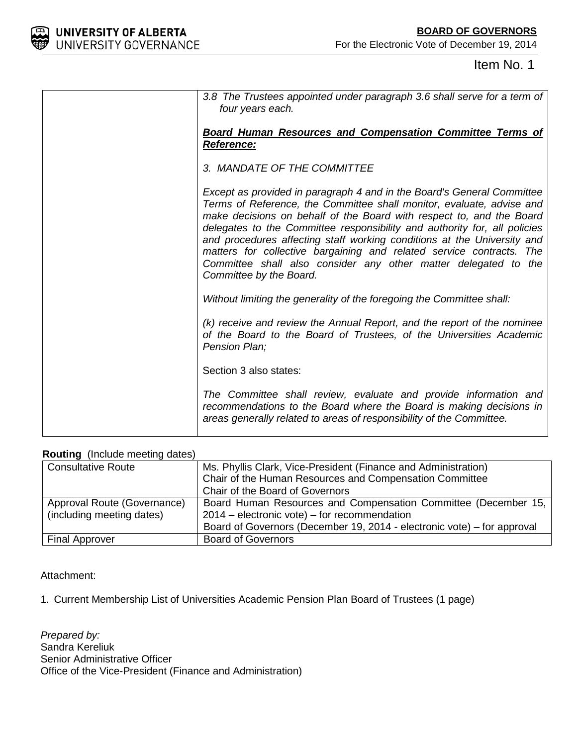

## Item No. 1

| 3.8 The Trustees appointed under paragraph 3.6 shall serve for a term of<br>four years each.                                                                                                                                                                                                                                                                                                                                                                                                                                                          |
|-------------------------------------------------------------------------------------------------------------------------------------------------------------------------------------------------------------------------------------------------------------------------------------------------------------------------------------------------------------------------------------------------------------------------------------------------------------------------------------------------------------------------------------------------------|
| <b>Board Human Resources and Compensation Committee Terms of</b><br>Reference:                                                                                                                                                                                                                                                                                                                                                                                                                                                                        |
| 3. MANDATE OF THE COMMITTEE                                                                                                                                                                                                                                                                                                                                                                                                                                                                                                                           |
| Except as provided in paragraph 4 and in the Board's General Committee<br>Terms of Reference, the Committee shall monitor, evaluate, advise and<br>make decisions on behalf of the Board with respect to, and the Board<br>delegates to the Committee responsibility and authority for, all policies<br>and procedures affecting staff working conditions at the University and<br>matters for collective bargaining and related service contracts. The<br>Committee shall also consider any other matter delegated to the<br>Committee by the Board. |
| Without limiting the generality of the foregoing the Committee shall:                                                                                                                                                                                                                                                                                                                                                                                                                                                                                 |
| (k) receive and review the Annual Report, and the report of the nominee<br>of the Board to the Board of Trustees, of the Universities Academic<br>Pension Plan;                                                                                                                                                                                                                                                                                                                                                                                       |
| Section 3 also states:                                                                                                                                                                                                                                                                                                                                                                                                                                                                                                                                |
| The Committee shall review, evaluate and provide information and<br>recommendations to the Board where the Board is making decisions in<br>areas generally related to areas of responsibility of the Committee.                                                                                                                                                                                                                                                                                                                                       |

#### **Routing** (Include meeting dates)

| $1.94$ atting (include incomitg datoo |                                                                         |
|---------------------------------------|-------------------------------------------------------------------------|
| <b>Consultative Route</b>             | Ms. Phyllis Clark, Vice-President (Finance and Administration)          |
|                                       | Chair of the Human Resources and Compensation Committee                 |
|                                       | Chair of the Board of Governors                                         |
| Approval Route (Governance)           | Board Human Resources and Compensation Committee (December 15,          |
| (including meeting dates)             | $2014$ – electronic vote) – for recommendation                          |
|                                       | Board of Governors (December 19, 2014 - electronic vote) – for approval |
| <b>Final Approver</b>                 | <b>Board of Governors</b>                                               |

#### Attachment:

1. Current Membership List of Universities Academic Pension Plan Board of Trustees (1 page)

*Prepared by:* Sandra Kereliuk Senior Administrative Officer Office of the Vice-President (Finance and Administration)